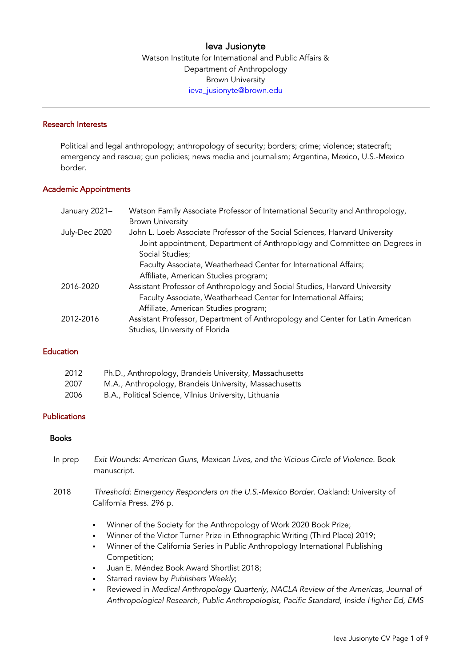# Ieva Jusionyte

Watson Institute for International and Public Affairs & Department of Anthropology Brown University ieva\_jusionyte@brown.edu

#### Research Interests

Political and legal anthropology; anthropology of security; borders; crime; violence; statecraft; emergency and rescue; gun policies; news media and journalism; Argentina, Mexico, U.S.-Mexico border.

## Academic Appointments

| January 2021- | Watson Family Associate Professor of International Security and Anthropology, |
|---------------|-------------------------------------------------------------------------------|
|               | <b>Brown University</b>                                                       |
| July-Dec 2020 | John L. Loeb Associate Professor of the Social Sciences, Harvard University   |
|               | Joint appointment, Department of Anthropology and Committee on Degrees in     |
|               | Social Studies;                                                               |
|               | Faculty Associate, Weatherhead Center for International Affairs;              |
|               | Affiliate, American Studies program;                                          |
| 2016-2020     | Assistant Professor of Anthropology and Social Studies, Harvard University    |
|               | Faculty Associate, Weatherhead Center for International Affairs;              |
|               | Affiliate, American Studies program;                                          |
| 2012-2016     | Assistant Professor, Department of Anthropology and Center for Latin American |
|               | Studies, University of Florida                                                |

# **Education**

| 2012 | Ph.D., Anthropology, Brandeis University, Massachusetts |
|------|---------------------------------------------------------|
| 2007 | M.A., Anthropology, Brandeis University, Massachusetts  |
| 2006 | B.A., Political Science, Vilnius University, Lithuania  |

## **Publications**

### Books

- In prep *Exit Wounds: American Guns, Mexican Lives, and the Vicious Circle of Violence*. Book manuscript.
- 2018 *Threshold: Emergency Responders on the U.S.-Mexico Border*. Oakland: University of California Press. 296 p.
	- § Winner of the Society for the Anthropology of Work 2020 Book Prize;
	- § Winner of the Victor Turner Prize in Ethnographic Writing (Third Place) 2019;
	- § Winner of the California Series in Public Anthropology International Publishing Competition;
	- § Juan E. Méndez Book Award Shortlist 2018;
	- § Starred review by *Publishers Weekly*;
	- § Reviewed in *Medical Anthropology Quarterly, NACLA Review of the Americas, Journal of Anthropological Research, Public Anthropologist, Pacific Standard*, *Inside Higher Ed, EMS*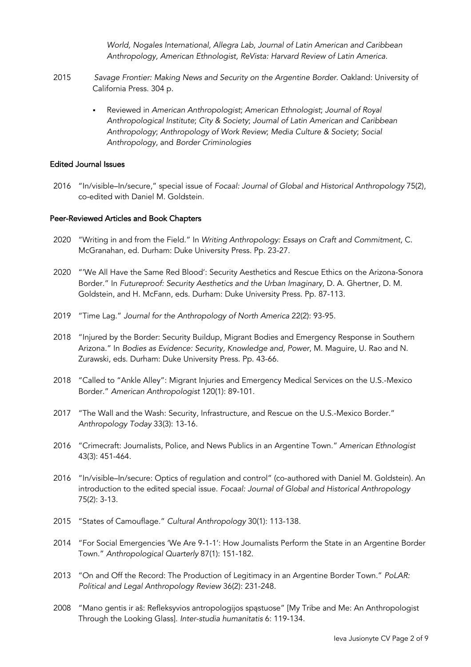*World, Nogales International, Allegra Lab, Journal of Latin American and Caribbean Anthropology, American Ethnologist, ReVista: Harvard Review of Latin America.*

- 2015 *Savage Frontier: Making News and Security on the Argentine Border*. Oakland: University of California Press. 304 p.
	- § Reviewed in *American Anthropologist*; *American Ethnologist*; *Journal of Royal Anthropological Institute*; *City & Society*; *Journal of Latin American and Caribbean Anthropology*; *Anthropology of Work Review*; *Media Culture & Society*; *Social Anthropology*, and *Border Criminologies*

## Edited Journal Issues

2016 "In/visible–In/secure," special issue of *Focaal: Journal of Global and Historical Anthropology* 75(2), co-edited with Daniel M. Goldstein.

#### Peer-Reviewed Articles and Book Chapters

- 2020 "Writing in and from the Field." In *Writing Anthropology: Essays on Craft and Commitment*, C. McGranahan, ed. Durham: Duke University Press. Pp. 23-27.
- 2020 "'We All Have the Same Red Blood': Security Aesthetics and Rescue Ethics on the Arizona-Sonora Border." In *Futureproof: Security Aesthetics and the Urban Imaginary*, D. A. Ghertner, D. M. Goldstein, and H. McFann, eds. Durham: Duke University Press. Pp. 87-113.
- 2019 "Time Lag." *Journal for the Anthropology of North America* 22(2): 93-95.
- 2018 "Injured by the Border: Security Buildup, Migrant Bodies and Emergency Response in Southern Arizona." In *Bodies as Evidence: Security, Knowledge and, Power*, M. Maguire, U. Rao and N. Zurawski, eds. Durham: Duke University Press. Pp. 43-66.
- 2018 "Called to "Ankle Alley": Migrant Injuries and Emergency Medical Services on the U.S.-Mexico Border." *American Anthropologist* 120(1): 89-101.
- 2017 "The Wall and the Wash: Security, Infrastructure, and Rescue on the U.S.-Mexico Border." *Anthropology Today* 33(3): 13-16.
- 2016 "Crimecraft: Journalists, Police, and News Publics in an Argentine Town." *American Ethnologist*  43(3): 451-464.
- 2016 "In/visible–In/secure: Optics of regulation and control" (co-authored with Daniel M. Goldstein). An introduction to the edited special issue. *Focaal: Journal of Global and Historical Anthropology*  75(2): 3-13.
- 2015 "States of Camouflage." *Cultural Anthropology* 30(1): 113-138.
- 2014 "For Social Emergencies 'We Are 9-1-1': How Journalists Perform the State in an Argentine Border Town." *Anthropological Quarterly* 87(1): 151-182.
- 2013 "On and Off the Record: The Production of Legitimacy in an Argentine Border Town." *PoLAR: Political and Legal Anthropology Review* 36(2): 231-248.
- 2008 "Mano gentis ir aš: Refleksyvios antropologijos spąstuose" [My Tribe and Me: An Anthropologist Through the Looking Glass]. *Inter-studia humanitatis* 6: 119-134.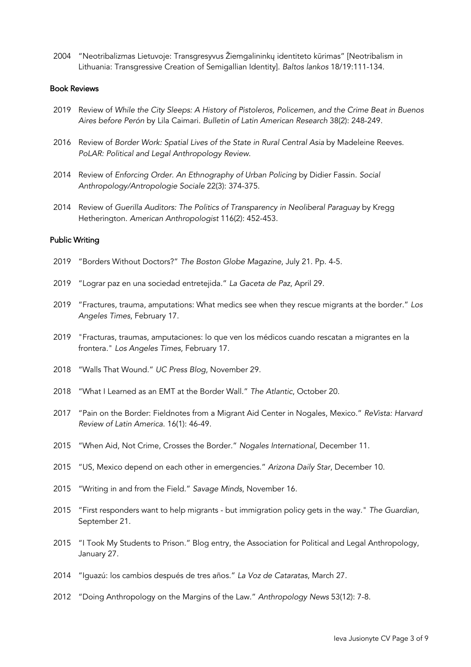2004 "Neotribalizmas Lietuvoje: Transgresyvus Žiemgalininkų identiteto kūrimas" [Neotribalism in Lithuania: Transgressive Creation of Semigallian Identity]. *Baltos lankos* 18/19:111-134.

#### Book Reviews

- 2019 Review of *While the City Sleeps: A History of Pistoleros, Policemen, and the Crime Beat in Buenos Aires before Perón* by Lila Caimari. *Bulletin of Latin American Research* 38(2): 248-249.
- 2016 Review of *Border Work: Spatial Lives of the State in Rural Central Asia* by Madeleine Reeves. *PoLAR: Political and Legal Anthropology Review*.
- 2014 Review of *Enforcing Order. An Ethnography of Urban Policing* by Didier Fassin. *Social Anthropology/Antropologie Sociale* 22(3): 374-375.
- 2014 Review of *Guerilla Auditors: The Politics of Transparency in Neoliberal Paraguay* by Kregg Hetherington. *American Anthropologist* 116(2): 452-453.

### Public Writing

- 2019 "Borders Without Doctors?" *The Boston Globe Magazine*, July 21. Pp. 4-5.
- 2019 "Lograr paz en una sociedad entretejida." *La Gaceta de Paz*, April 29.
- 2019 "Fractures, trauma, amputations: What medics see when they rescue migrants at the border." *Los Angeles Times*, February 17.
- 2019 "Fracturas, traumas, amputaciones: lo que ven los médicos cuando rescatan a migrantes en la frontera." *Los Angeles Times*, February 17.
- 2018 "Walls That Wound." *UC Press Blog*, November 29.
- 2018 "What I Learned as an EMT at the Border Wall." *The Atlantic*, October 20.
- 2017 "Pain on the Border: Fieldnotes from a Migrant Aid Center in Nogales, Mexico." *ReVista: Harvard Review of Latin America*. 16(1): 46-49.
- 2015 "When Aid, Not Crime, Crosses the Border." *Nogales International*, December 11.
- 2015 "US, Mexico depend on each other in emergencies." *Arizona Daily Star*, December 10.
- 2015 "Writing in and from the Field." *Savage Minds*, November 16.
- 2015 "First responders want to help migrants but immigration policy gets in the way." *The Guardian*, September 21.
- 2015 "I Took My Students to Prison." Blog entry, the Association for Political and Legal Anthropology, January 27.
- 2014 "Iguazú: los cambios después de tres años." *La Voz de Cataratas*, March 27.
- 2012 "Doing Anthropology on the Margins of the Law." *Anthropology News* 53(12): 7-8.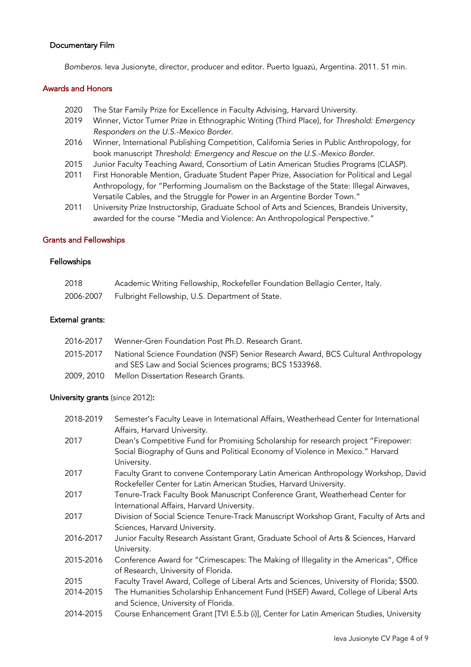### Documentary Film

*Bomberos*. Ieva Jusionyte, director, producer and editor. Puerto Iguazú, Argentina. 2011. 51 min.

#### Awards and Honors

- 2020 The Star Family Prize for Excellence in Faculty Advising, Harvard University.
- 2019 Winner, Victor Turner Prize in Ethnographic Writing (Third Place), for *Threshold: Emergency Responders on the U.S.-Mexico Border.*
- 2016 Winner, International Publishing Competition, California Series in Public Anthropology, for book manuscript *Threshold: Emergency and Rescue on the U.S.-Mexico Border*.
- 2015 Junior Faculty Teaching Award, Consortium of Latin American Studies Programs (CLASP).
- 2011 First Honorable Mention, Graduate Student Paper Prize, Association for Political and Legal Anthropology, for "Performing Journalism on the Backstage of the State: Illegal Airwaves, Versatile Cables, and the Struggle for Power in an Argentine Border Town."
- 2011 University Prize Instructorship, Graduate School of Arts and Sciences, Brandeis University, awarded for the course "Media and Violence: An Anthropological Perspective."

## Grants and Fellowships

# Fellowships

| 2018      | Academic Writing Fellowship, Rockefeller Foundation Bellagio Center, Italy. |
|-----------|-----------------------------------------------------------------------------|
| 2006-2007 | Fulbright Fellowship, U.S. Department of State.                             |

### External grants:

| 2016-2017 | Wenner-Gren Foundation Post Ph.D. Research Grant.                                            |
|-----------|----------------------------------------------------------------------------------------------|
|           | 2015-2017 National Science Foundation (NSF) Senior Research Award, BCS Cultural Anthropology |
|           | and SES Law and Social Sciences programs; BCS 1533968.                                       |
|           | 2009, 2010 Mellon Dissertation Research Grants.                                              |

## University grants (since 2012):

| 2018-2019 | Semester's Faculty Leave in International Affairs, Weatherhead Center for International<br>Affairs, Harvard University.                                                             |
|-----------|-------------------------------------------------------------------------------------------------------------------------------------------------------------------------------------|
| 2017      | Dean's Competitive Fund for Promising Scholarship for research project "Firepower:<br>Social Biography of Guns and Political Economy of Violence in Mexico." Harvard<br>University. |
| 2017      | Faculty Grant to convene Contemporary Latin American Anthropology Workshop, David<br>Rockefeller Center for Latin American Studies, Harvard University.                             |
| 2017      | Tenure-Track Faculty Book Manuscript Conference Grant, Weatherhead Center for<br>International Affairs, Harvard University.                                                         |
| 2017      | Division of Social Science Tenure-Track Manuscript Workshop Grant, Faculty of Arts and<br>Sciences, Harvard University.                                                             |
| 2016-2017 | Junior Faculty Research Assistant Grant, Graduate School of Arts & Sciences, Harvard<br>University.                                                                                 |
| 2015-2016 | Conference Award for "Crimescapes: The Making of Illegality in the Americas", Office<br>of Research, University of Florida.                                                         |
| 2015      | Faculty Travel Award, College of Liberal Arts and Sciences, University of Florida; \$500.                                                                                           |
| 2014-2015 | The Humanities Scholarship Enhancement Fund (HSEF) Award, College of Liberal Arts<br>and Science, University of Florida.                                                            |
| 2014-2015 | Course Enhancement Grant [TVI E.5.b (i)], Center for Latin American Studies, University                                                                                             |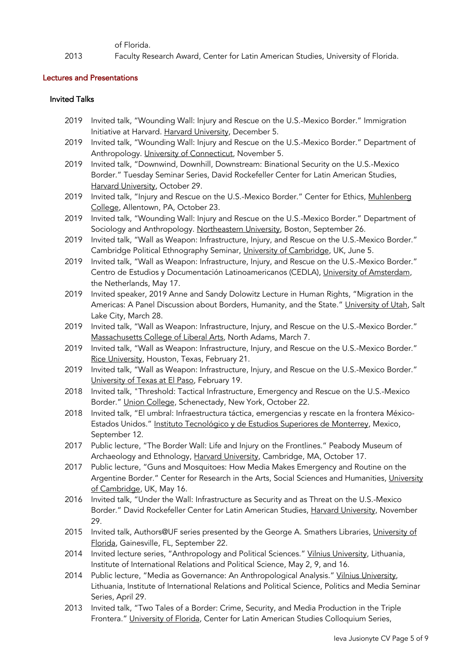of Florida.

2013 Faculty Research Award, Center for Latin American Studies, University of Florida.

# Lectures and Presentations

## Invited Talks

- 2019 Invited talk, "Wounding Wall: Injury and Rescue on the U.S.-Mexico Border." Immigration Initiative at Harvard. Harvard University, December 5.
- 2019 Invited talk, "Wounding Wall: Injury and Rescue on the U.S.-Mexico Border." Department of Anthropology. University of Connecticut, November 5.
- 2019 Invited talk, "Downwind, Downhill, Downstream: Binational Security on the U.S.-Mexico Border." Tuesday Seminar Series, David Rockefeller Center for Latin American Studies, Harvard University, October 29.
- 2019 Invited talk, "Injury and Rescue on the U.S.-Mexico Border." Center for Ethics, Muhlenberg College, Allentown, PA, October 23.
- 2019 Invited talk, "Wounding Wall: Injury and Rescue on the U.S.-Mexico Border." Department of Sociology and Anthropology. Northeastern University, Boston, September 26.
- 2019 Invited talk, "Wall as Weapon: Infrastructure, Injury, and Rescue on the U.S.-Mexico Border." Cambridge Political Ethnography Seminar, University of Cambridge, UK, June 5.
- 2019 Invited talk, "Wall as Weapon: Infrastructure, Injury, and Rescue on the U.S.-Mexico Border." Centro de Estudios y Documentación Latinoamericanos (CEDLA), University of Amsterdam, the Netherlands, May 17.
- 2019 Invited speaker, 2019 Anne and Sandy Dolowitz Lecture in Human Rights, "Migration in the Americas: A Panel Discussion about Borders, Humanity, and the State." University of Utah, Salt Lake City, March 28.
- 2019 Invited talk, "Wall as Weapon: Infrastructure, Injury, and Rescue on the U.S.-Mexico Border." Massachusetts College of Liberal Arts, North Adams, March 7.
- 2019 Invited talk, "Wall as Weapon: Infrastructure, Injury, and Rescue on the U.S.-Mexico Border." Rice University, Houston, Texas, February 21.
- 2019 Invited talk, "Wall as Weapon: Infrastructure, Injury, and Rescue on the U.S.-Mexico Border." University of Texas at El Paso, February 19.
- 2018 Invited talk, "Threshold: Tactical Infrastructure, Emergency and Rescue on the U.S.-Mexico Border." Union College, Schenectady, New York, October 22.
- 2018 Invited talk, "El umbral: Infraestructura táctica, emergencias y rescate en la frontera México-Estados Unidos." Instituto Tecnológico y de Estudios Superiores de Monterrey, Mexico, September 12.
- 2017 Public lecture, "The Border Wall: Life and Injury on the Frontlines." Peabody Museum of Archaeology and Ethnology, Harvard University, Cambridge, MA, October 17.
- 2017 Public lecture, "Guns and Mosquitoes: How Media Makes Emergency and Routine on the Argentine Border." Center for Research in the Arts, Social Sciences and Humanities, University of Cambridge, UK, May 16.
- 2016 Invited talk, "Under the Wall: Infrastructure as Security and as Threat on the U.S.-Mexico Border." David Rockefeller Center for Latin American Studies, Harvard University, November 29.
- 2015 Invited talk, Authors@UF series presented by the George A. Smathers Libraries, University of Florida, Gainesville, FL, September 22.
- 2014 Invited lecture series, "Anthropology and Political Sciences." Vilnius University, Lithuania, Institute of International Relations and Political Science, May 2, 9, and 16.
- 2014 Public lecture, "Media as Governance: An Anthropological Analysis." Vilnius University, Lithuania, Institute of International Relations and Political Science, Politics and Media Seminar Series, April 29.
- 2013 Invited talk, "Two Tales of a Border: Crime, Security, and Media Production in the Triple Frontera." University of Florida, Center for Latin American Studies Colloquium Series,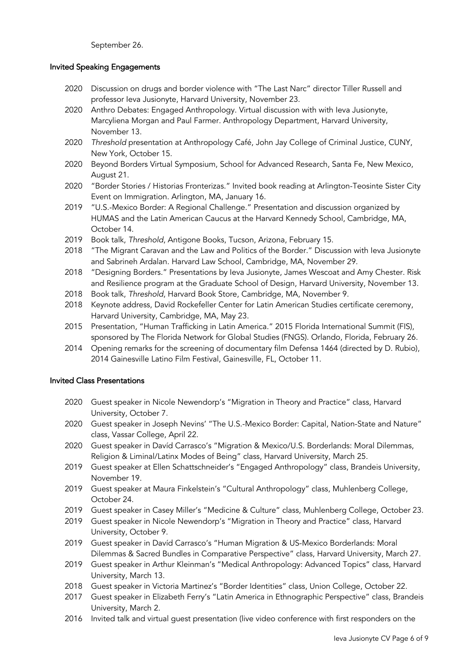September 26.

# Invited Speaking Engagements

- 2020 Discussion on drugs and border violence with "The Last Narc" director Tiller Russell and professor Ieva Jusionyte, Harvard University, November 23.
- 2020 Anthro Debates: Engaged Anthropology. Virtual discussion with with Ieva Jusionyte, Marcyliena Morgan and Paul Farmer. Anthropology Department, Harvard University, November 13.
- 2020 *Threshold* presentation at Anthropology Café, John Jay College of Criminal Justice, CUNY, New York, October 15.
- 2020 Beyond Borders Virtual Symposium, School for Advanced Research, Santa Fe, New Mexico, August 21.
- 2020 "Border Stories / Historias Fronterizas." Invited book reading at Arlington-Teosinte Sister City Event on Immigration. Arlington, MA, January 16.
- 2019 "U.S.-Mexico Border: A Regional Challenge." Presentation and discussion organized by HUMAS and the Latin American Caucus at the Harvard Kennedy School, Cambridge, MA, October 14.
- 2019 Book talk, *Threshold*, Antigone Books, Tucson, Arizona, February 15.
- 2018 "The Migrant Caravan and the Law and Politics of the Border." Discussion with Ieva Jusionyte and Sabrineh Ardalan. Harvard Law School, Cambridge, MA, November 29.
- 2018 "Designing Borders." Presentations by Ieva Jusionyte, James Wescoat and Amy Chester. Risk and Resilience program at the Graduate School of Design, Harvard University, November 13.
- 2018 Book talk, *Threshold*, Harvard Book Store, Cambridge, MA, November 9.
- 2018 Keynote address, David Rockefeller Center for Latin American Studies certificate ceremony, Harvard University, Cambridge, MA, May 23.
- 2015 Presentation, "Human Trafficking in Latin America." 2015 Florida International Summit (FIS), sponsored by The Florida Network for Global Studies (FNGS). Orlando, Florida, February 26.
- 2014 Opening remarks for the screening of documentary film Defensa 1464 (directed by D. Rubio), 2014 Gainesville Latino Film Festival, Gainesville, FL, October 11.

## Invited Class Presentations

- 2020 Guest speaker in Nicole Newendorp's "Migration in Theory and Practice" class, Harvard University, October 7.
- 2020 Guest speaker in Joseph Nevins' "The U.S.-Mexico Border: Capital, Nation-State and Nature" class, Vassar College, April 22.
- 2020 Guest speaker in Davíd Carrasco's "Migration & Mexico/U.S. Borderlands: Moral Dilemmas, Religion & Liminal/Latinx Modes of Being" class, Harvard University, March 25.
- 2019 Guest speaker at Ellen Schattschneider's "Engaged Anthropology" class, Brandeis University, November 19.
- 2019 Guest speaker at Maura Finkelstein's "Cultural Anthropology" class, Muhlenberg College, October 24.
- 2019 Guest speaker in Casey Miller's "Medicine & Culture" class, Muhlenberg College, October 23.
- 2019 Guest speaker in Nicole Newendorp's "Migration in Theory and Practice" class, Harvard University, October 9.
- 2019 Guest speaker in Davíd Carrasco's "Human Migration & US-Mexico Borderlands: Moral Dilemmas & Sacred Bundles in Comparative Perspective" class, Harvard University, March 27.
- 2019 Guest speaker in Arthur Kleinman's "Medical Anthropology: Advanced Topics" class, Harvard University, March 13.
- 2018 Guest speaker in Victoria Martinez's "Border Identities" class, Union College, October 22.
- 2017 Guest speaker in Elizabeth Ferry's "Latin America in Ethnographic Perspective" class, Brandeis University, March 2.
- 2016 Invited talk and virtual guest presentation (live video conference with first responders on the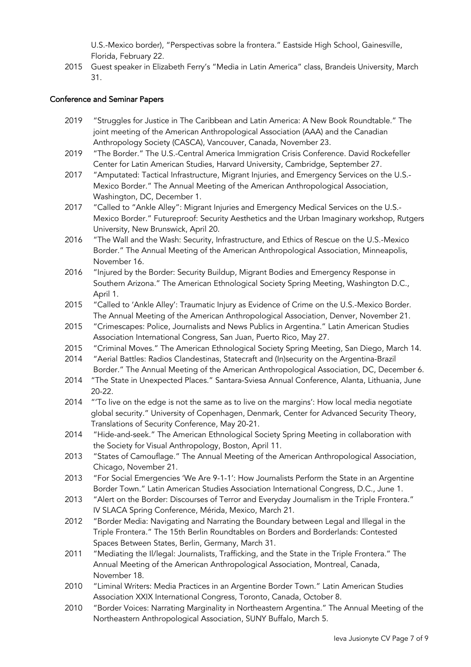U.S.-Mexico border), "Perspectivas sobre la frontera." Eastside High School, Gainesville, Florida, February 22.

2015 Guest speaker in Elizabeth Ferry's "Media in Latin America" class, Brandeis University, March 31.

# Conference and Seminar Papers

- 2019 "Struggles for Justice in The Caribbean and Latin America: A New Book Roundtable." The joint meeting of the American Anthropological Association (AAA) and the Canadian Anthropology Society (CASCA), Vancouver, Canada, November 23.
- 2019 "The Border." The U.S.-Central America Immigration Crisis Conference. David Rockefeller Center for Latin American Studies, Harvard University, Cambridge, September 27.
- 2017 "Amputated: Tactical Infrastructure, Migrant Injuries, and Emergency Services on the U.S.- Mexico Border." The Annual Meeting of the American Anthropological Association, Washington, DC, December 1.
- 2017 "Called to "Ankle Alley": Migrant Injuries and Emergency Medical Services on the U.S.- Mexico Border." Futureproof: Security Aesthetics and the Urban Imaginary workshop, Rutgers University, New Brunswick, April 20.
- 2016 "The Wall and the Wash: Security, Infrastructure, and Ethics of Rescue on the U.S.-Mexico Border." The Annual Meeting of the American Anthropological Association, Minneapolis, November 16.
- 2016 "Injured by the Border: Security Buildup, Migrant Bodies and Emergency Response in Southern Arizona." The American Ethnological Society Spring Meeting, Washington D.C., April 1.
- 2015 "Called to 'Ankle Alley': Traumatic Injury as Evidence of Crime on the U.S.-Mexico Border. The Annual Meeting of the American Anthropological Association, Denver, November 21.
- 2015 "Crimescapes: Police, Journalists and News Publics in Argentina." Latin American Studies Association International Congress, San Juan, Puerto Rico, May 27.
- 2015 "Criminal Moves." The American Ethnological Society Spring Meeting, San Diego, March 14.
- 2014 "Aerial Battles: Radios Clandestinas, Statecraft and (In)security on the Argentina-Brazil Border." The Annual Meeting of the American Anthropological Association, DC, December 6.
- 2014 "The State in Unexpected Places." Santara-Sviesa Annual Conference, Alanta, Lithuania, June 20-22.
- 2014 "'To live on the edge is not the same as to live on the margins': How local media negotiate global security." University of Copenhagen, Denmark, Center for Advanced Security Theory, Translations of Security Conference, May 20-21.
- 2014 "Hide-and-seek." The American Ethnological Society Spring Meeting in collaboration with the Society for Visual Anthropology, Boston, April 11.
- 2013 "States of Camouflage." The Annual Meeting of the American Anthropological Association, Chicago, November 21.
- 2013 "For Social Emergencies 'We Are 9-1-1': How Journalists Perform the State in an Argentine Border Town." Latin American Studies Association International Congress, D.C., June 1.
- 2013 "Alert on the Border: Discourses of Terror and Everyday Journalism in the Triple Frontera." IV SLACA Spring Conference, Mérida, Mexico, March 21.
- 2012 "Border Media: Navigating and Narrating the Boundary between Legal and Illegal in the Triple Frontera." The 15th Berlin Roundtables on Borders and Borderlands: Contested Spaces Between States, Berlin, Germany, March 31.
- 2011 "Mediating the Il/legal: Journalists, Trafficking, and the State in the Triple Frontera." The Annual Meeting of the American Anthropological Association, Montreal, Canada, November 18.
- 2010 "Liminal Writers: Media Practices in an Argentine Border Town." Latin American Studies Association XXIX International Congress, Toronto, Canada, October 8.
- 2010 "Border Voices: Narrating Marginality in Northeastern Argentina." The Annual Meeting of the Northeastern Anthropological Association, SUNY Buffalo, March 5.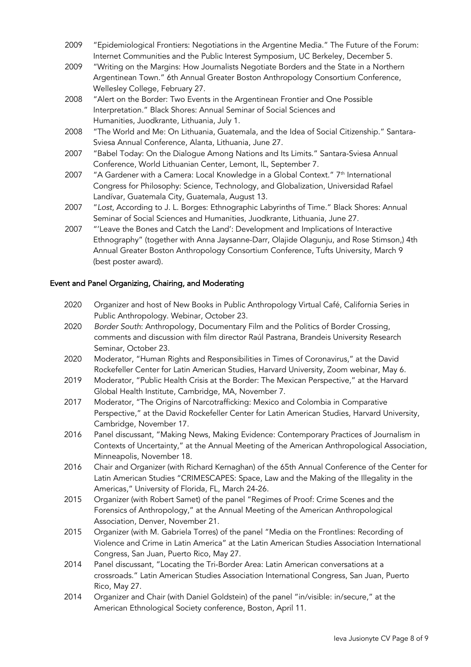- 2009 "Epidemiological Frontiers: Negotiations in the Argentine Media." The Future of the Forum: Internet Communities and the Public Interest Symposium, UC Berkeley, December 5.
- 2009 "Writing on the Margins: How Journalists Negotiate Borders and the State in a Northern Argentinean Town." 6th Annual Greater Boston Anthropology Consortium Conference, Wellesley College, February 27.
- 2008 "Alert on the Border: Two Events in the Argentinean Frontier and One Possible Interpretation." Black Shores: Annual Seminar of Social Sciences and Humanities, Juodkrante, Lithuania, July 1.
- 2008 "The World and Me: On Lithuania, Guatemala, and the Idea of Social Citizenship." Santara-Sviesa Annual Conference, Alanta, Lithuania, June 27.
- 2007 "Babel Today: On the Dialogue Among Nations and Its Limits." Santara-Sviesa Annual Conference, World Lithuanian Center, Lemont, IL, September 7.
- 2007 "A Gardener with a Camera: Local Knowledge in a Global Context."  $7<sup>th</sup>$  International Congress for Philosophy: Science, Technology, and Globalization, Universidad Rafael Landívar, Guatemala City, Guatemala, August 13.
- 2007 "*Lost*, According to J. L. Borges: Ethnographic Labyrinths of Time." Black Shores: Annual Seminar of Social Sciences and Humanities, Juodkrante, Lithuania, June 27.
- 2007 "'Leave the Bones and Catch the Land': Development and Implications of Interactive Ethnography" (together with Anna Jaysanne-Darr, Olajide Olagunju, and Rose Stimson,) 4th Annual Greater Boston Anthropology Consortium Conference, Tufts University, March 9 (best poster award).

# Event and Panel Organizing, Chairing, and Moderating

- 2020 Organizer and host of New Books in Public Anthropology Virtual Café, California Series in Public Anthropology. Webinar, October 23.
- 2020 *Border South*: Anthropology, Documentary Film and the Politics of Border Crossing, comments and discussion with film director Raúl Pastrana, Brandeis University Research Seminar, October 23.
- 2020 Moderator, "Human Rights and Responsibilities in Times of Coronavirus," at the David Rockefeller Center for Latin American Studies, Harvard University, Zoom webinar, May 6.
- 2019 Moderator, "Public Health Crisis at the Border: The Mexican Perspective," at the Harvard Global Health Institute, Cambridge, MA, November 7.
- 2017 Moderator, "The Origins of Narcotrafficking: Mexico and Colombia in Comparative Perspective," at the David Rockefeller Center for Latin American Studies, Harvard University, Cambridge, November 17.
- 2016 Panel discussant, "Making News, Making Evidence: Contemporary Practices of Journalism in Contexts of Uncertainty," at the Annual Meeting of the American Anthropological Association, Minneapolis, November 18.
- 2016 Chair and Organizer (with Richard Kernaghan) of the 65th Annual Conference of the Center for Latin American Studies "CRIMESCAPES: Space, Law and the Making of the Illegality in the Americas," University of Florida, FL, March 24-26.
- 2015 Organizer (with Robert Samet) of the panel "Regimes of Proof: Crime Scenes and the Forensics of Anthropology," at the Annual Meeting of the American Anthropological Association, Denver, November 21.
- 2015 Organizer (with M. Gabriela Torres) of the panel "Media on the Frontlines: Recording of Violence and Crime in Latin America" at the Latin American Studies Association International Congress, San Juan, Puerto Rico, May 27.
- 2014 Panel discussant, "Locating the Tri-Border Area: Latin American conversations at a crossroads." Latin American Studies Association International Congress, San Juan, Puerto Rico, May 27.
- 2014 Organizer and Chair (with Daniel Goldstein) of the panel "in/visible: in/secure," at the American Ethnological Society conference, Boston, April 11.